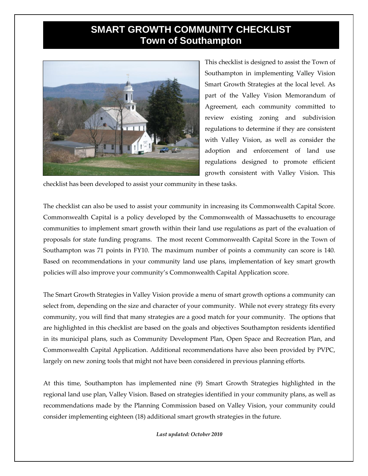## **SMART GROWTH COMMUNITY CHECKLIST Town of Southampton**



This checklist is designed to assist the Town of Southampton in implementing Valley Vision Smart Growth Strategies at the local level. As part of the Valley Vision Memorandum of Agreement, each community committed to review existing zoning and subdivision regulations to determine if they are consistent with Valley Vision, as well as consider the adoption and enforcement of land use regulations designed to promote efficient growth consistent with Valley Vision. This

checklist has been developed to assist your community in these tasks.

The checklist can also be used to assist your community in increasing its Commonwealth Capital Score. Commonwealth Capital is a policy developed by the Commonwealth of Massachusetts to encourage communities to implement smart growth within their land use regulations as part of the evaluation of proposals for state funding programs. The most recent Commonwealth Capital Score in the Town of Southampton was 71 points in FY10. The maximum number of points a community can score is 140. Based on recommendations in your community land use plans, implementation of key smart growth policies will also improve your community's Commonwealth Capital Application score.

The Smart Growth Strategies in Valley Vision provide a menu of smart growth options a community can select from, depending on the size and character of your community. While not every strategy fits every community, you will find that many strategies are a good match for your community. The options that are highlighted in this checklist are based on the goals and objectives Southampton residents identified in its municipal plans, such as Community Development Plan, Open Space and Recreation Plan, and Commonwealth Capital Application. Additional recommendations have also been provided by PVPC, largely on new zoning tools that might not have been considered in previous planning efforts.

At this time, Southampton has implemented nine (9) Smart Growth Strategies highlighted in the regional land use plan, Valley Vision. Based on strategies identified in your community plans, as well as recommendations made by the Planning Commission based on Valley Vision, your community could consider implementing eighteen (18) additional smart growth strategies in the future.

*Last updated: October 2010*